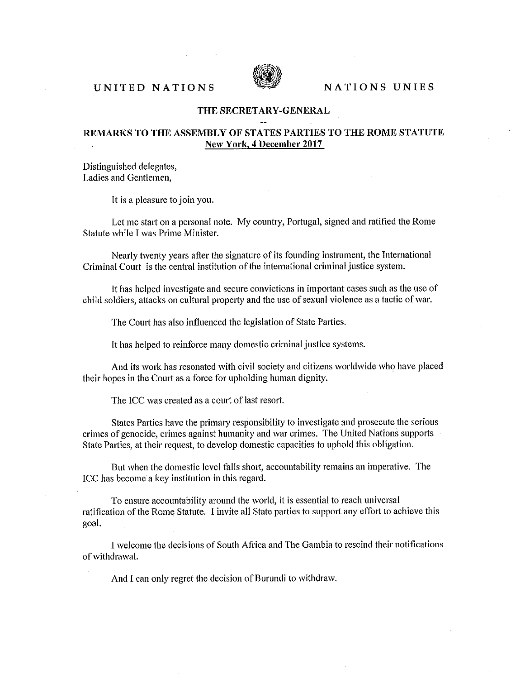## UNITED NATIONS SEARCH NATIONS UNIES



## THE SECRETARY-GENERAL

## REMARKS TO THE ASSEMBLY OF STATES PARTIES TO THE ROME STATUTE New York, 4 December 2017

Distinguished delegates, Ladies and Gentlemen,

It is a pleasure to join you.

Let me start on a personal note. My country, Portugal, signed and ratified the Rome Statute while I was Prime Minister.

Nearly twenty years after the signature of its founding instrument, the International Criminal Court is the central institution of the international criminal justice system.

It has helped investigate and secure convictions in important cases such as the use of child soldiers, attacks on cultural property and the use of sexual violence as a tactic of war.

The Court has also influenced the legislation of State Parties.

It has helped to reinforce many domestic criminal justice systems.

And its work has resonated with civil society and citizens worldwide who have placed their hopes in the Court as a force for upholding human dignity.

The ICC was created as a court of last resort.

States Parties have the primary responsibility to investigate and prosecute the serious crimes of genocide, crimes against humanity and war crimes. The United Nations supports State Parties, at their request, to develop domestic capacities to uphold this obligation.

But when the domestic level falls short, accountability remains an imperative. The ICC has become a key institution in this regard.

To ensure accountability around the world, it is essential to reach universal ratification of the Rome Statute. I invite all State parties to support any effort to achieve this goal.

I welcome the decisions of South Africa and The Gambia to rescind their notifications of withdrawal.

And I can only regret the decision of Burundi to withdraw.